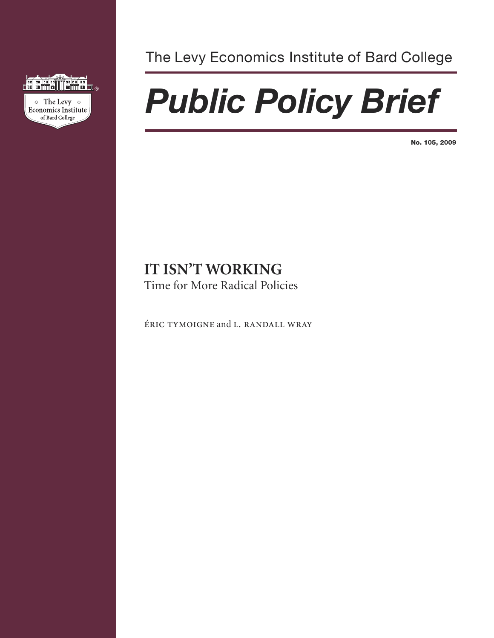

The Levy Economics Institute of Bard College

# *Public Policy Brief*

**No. 105, 2009**

# **IT ISN'T WORKING**

Time for More Radical Policies

ÉRIC TYMOIGNE and L. RANDALL WRAY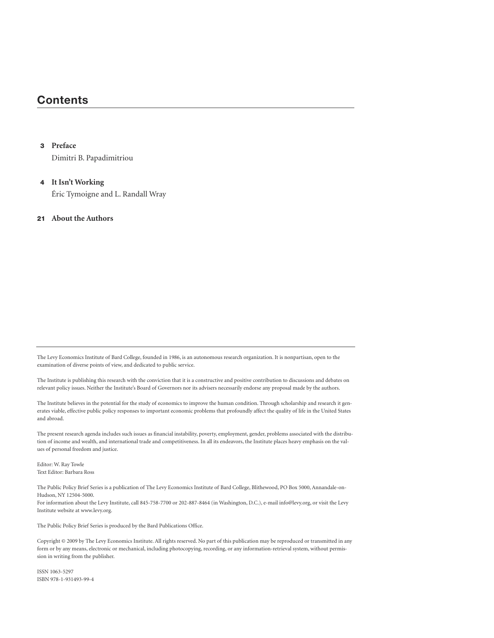# **Contents**

#### **3 Preface**

Dimitri B. Papadimitriou

## **4 It Isn't Working** Éric Tymoigne and L. Randall Wray

#### **21 About the Authors**

The Levy Economics Institute of Bard College, founded in 1986, is an autonomous research organization. It is nonpartisan, open to the examination of diverse points of view, and dedicated to public service.

The Institute is publishing this research with the conviction that it is a constructive and positive contribution to discussions and debates on relevant policy issues. Neither the Institute's Board of Governors nor its advisers necessarily endorse any proposal made by the authors.

The Institute believes in the potential for the study of economics to improve the human condition. Through scholarship and research it generates viable, effective public policy responses to important economic problems that profoundly affect the quality of life in the United States and abroad.

The present research agenda includes such issues as financial instability, poverty, employment, gender, problems associated with the distribution of income and wealth, and international trade and competitiveness. In all its endeavors, the Institute places heavy emphasis on the values of personal freedom and justice.

Editor: W. Ray Towle Text Editor: Barbara Ross

The Public Policy Brief Series is a publication of The Levy Economics Institute of Bard College, Blithewood, PO Box 5000, Annandale-on-Hudson, NY 12504-5000. For information about the Levy Institute, call 845-758-7700 or 202-887-8464 (in Washington, D.C.), e-mail info@levy.org, or visit the Levy Institute website at www.levy.org.

The Public Policy Brief Series is produced by the Bard Publications Office.

Copyright © 2009 by The Levy Economics Institute. All rights reserved. No part of this publication may be reproduced or transmitted in any form or by any means, electronic or mechanical, including photocopying, recording, or any information-retrieval system, without permission in writing from the publisher.

ISSN 1063-5297 ISBN 978-1-931493-99-4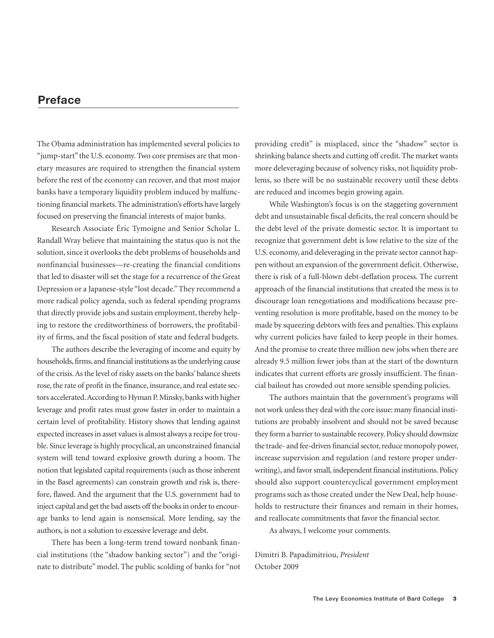# **Preface**

The Obama administration has implemented several policies to "jump-start" the U.S. economy. Two core premises are that monetary measures are required to strengthen the financial system before the rest of the economy can recover, and that most major banks have a temporary liquidity problem induced by malfunctioning financial markets.The administration's efforts have largely focused on preserving the financial interests of major banks.

Research Associate Éric Tymoigne and Senior Scholar L. Randall Wray believe that maintaining the status quo is not the solution, since it overlooks the debt problems of households and nonfinancial businesses—re-creating the financial conditions that led to disaster will set the stage for a recurrence of the Great Depression or a Japanese-style "lost decade."They recommend a more radical policy agenda, such as federal spending programs that directly provide jobs and sustain employment, thereby helping to restore the creditworthiness of borrowers, the profitability of firms, and the fiscal position of state and federal budgets.

The authors describe the leveraging of income and equity by households, firms, and financial institutions as the underlying cause of the crisis.Asthe level of risky assets on the banks'balance sheets rose, the rate of profit in the finance, insurance, and real estate sectors accelerated. According to Hyman P. Minsky, banks with higher leverage and profit rates must grow faster in order to maintain a certain level of profitability. History shows that lending against expected increases in asset values is almost always a recipe for trouble. Since leverage is highly procyclical, an unconstrained financial system will tend toward explosive growth during a boom. The notion that legislated capital requirements (such as those inherent in the Basel agreements) can constrain growth and risk is, therefore, flawed. And the argument that the U.S. government had to inject capital and get the bad assets off the books in order to encourage banks to lend again is nonsensical. More lending, say the authors, is not a solution to excessive leverage and debt.

There has been a long-term trend toward nonbank financial institutions (the "shadow banking sector") and the "originate to distribute" model. The public scolding of banks for "not providing credit" is misplaced, since the "shadow" sector is shrinking balance sheets and cutting off credit. The market wants more deleveraging because of solvency risks, not liquidity problems, so there will be no sustainable recovery until these debts are reduced and incomes begin growing again.

While Washington's focus is on the staggering government debt and unsustainable fiscal deficits, the real concern should be the debt level of the private domestic sector. It is important to recognize that government debt is low relative to the size of the U.S. economy, and deleveraging in the private sector cannot happen without an expansion of the government deficit. Otherwise, there is risk of a full-blown debt-deflation process. The current approach of the financial institutions that created the mess is to discourage loan renegotiations and modifications because preventing resolution is more profitable, based on the money to be made by squeezing debtors with fees and penalties. This explains why current policies have failed to keep people in their homes. And the promise to create three million new jobs when there are already 9.5 million fewer jobs than at the start of the downturn indicates that current efforts are grossly insufficient. The financial bailout has crowded out more sensible spending policies.

The authors maintain that the government's programs will not work unless they deal with the core issue: many financial institutions are probably insolvent and should not be saved because they form a barrier to sustainable recovery. Policy should downsize the trade- and fee-driven financial sector, reduce monopoly power, increase supervision and regulation (and restore proper underwriting), and favor small, independent financial institutions. Policy should also support countercyclical government employment programs such as those created under the New Deal, help households to restructure their finances and remain in their homes, and reallocate commitments that favor the financial sector.

As always, I welcome your comments.

Dimitri B. Papadimitriou, *President* October 2009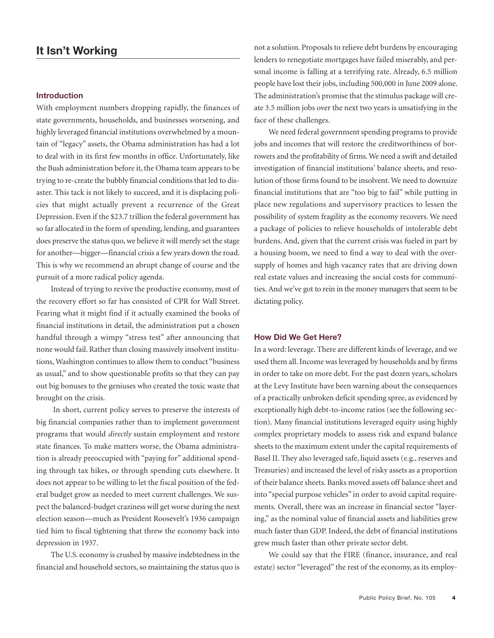#### **Introduction**

With employment numbers dropping rapidly, the finances of state governments, households, and businesses worsening, and highly leveraged financial institutions overwhelmed by a mountain of "legacy" assets, the Obama administration has had a lot to deal with in its first few months in office. Unfortunately, like the Bush administration before it, the Obama team appears to be trying to re-create the bubbly financial conditions that led to disaster. This tack is not likely to succeed, and it is displacing policies that might actually prevent a recurrence of the Great Depression. Even if the \$23.7 trillion the federal government has so far allocated in the form of spending, lending, and guarantees does preserve the status quo, we believe it will merely set the stage for another—bigger—financial crisis a few years down the road. This is why we recommend an abrupt change of course and the pursuit of a more radical policy agenda.

Instead of trying to revive the productive economy, most of the recovery effort so far has consisted of CPR for Wall Street. Fearing what it might find if it actually examined the books of financial institutions in detail, the administration put a chosen handful through a wimpy "stress test" after announcing that none would fail. Rather than closing massively insolvent institutions, Washington continues to allow them to conduct "business as usual," and to show questionable profits so that they can pay out big bonuses to the geniuses who created the toxic waste that brought on the crisis.

In short, current policy serves to preserve the interests of big financial companies rather than to implement government programs that would *directly* sustain employment and restore state finances. To make matters worse, the Obama administration is already preoccupied with "paying for" additional spending through tax hikes, or through spending cuts elsewhere. It does not appear to be willing to let the fiscal position of the federal budget grow as needed to meet current challenges. We suspect the balanced-budget craziness will get worse during the next election season—much as President Roosevelt's 1936 campaign tied him to fiscal tightening that threw the economy back into depression in 1937.

The U.S. economy is crushed by massive indebtedness in the financial and household sectors, so maintaining the status quo is not a solution. Proposals to relieve debt burdens by encouraging lenders to renegotiate mortgages have failed miserably, and personal income is falling at a terrifying rate. Already, 6.5 million people have lost their jobs, including 500,000 in June 2009 alone. The administration's promise that the stimulus package will create 3.5 million jobs over the next two years is unsatisfying in the face of these challenges.

We need federal government spending programs to provide jobs and incomes that will restore the creditworthiness of borrowers and the profitability of firms.We need a swift and detailed investigation of financial institutions' balance sheets, and resolution of those firms found to be insolvent.We need to downsize financial institutions that are "too big to fail" while putting in place new regulations and supervisory practices to lessen the possibility of system fragility as the economy recovers. We need a package of policies to relieve households of intolerable debt burdens. And, given that the current crisis was fueled in part by a housing boom, we need to find a way to deal with the oversupply of homes and high vacancy rates that are driving down real estate values and increasing the social costs for communities. And we've got to rein in the money managers that seem to be dictating policy.

#### **How Did We Get Here?**

In a word: leverage. There are different kinds of leverage, and we used them all.Income was leveraged by households and by firms in order to take on more debt. For the past dozen years, scholars at the Levy Institute have been warning about the consequences of a practically unbroken deficit spending spree, as evidenced by exceptionally high debt-to-income ratios (see the following section). Many financial institutions leveraged equity using highly complex proprietary models to assess risk and expand balance sheets to the maximum extent under the capital requirements of Basel II. They also leveraged safe, liquid assets (e.g., reserves and Treasuries) and increased the level of risky assets as a proportion of their balance sheets. Banks moved assets off balance sheet and into "special purpose vehicles" in order to avoid capital requirements. Overall, there was an increase in financial sector "layering," as the nominal value of financial assets and liabilities grew much faster than GDP. Indeed, the debt of financial institutions grew much faster than other private sector debt.

We could say that the FIRE (finance, insurance, and real estate) sector "leveraged" the rest of the economy, as its employ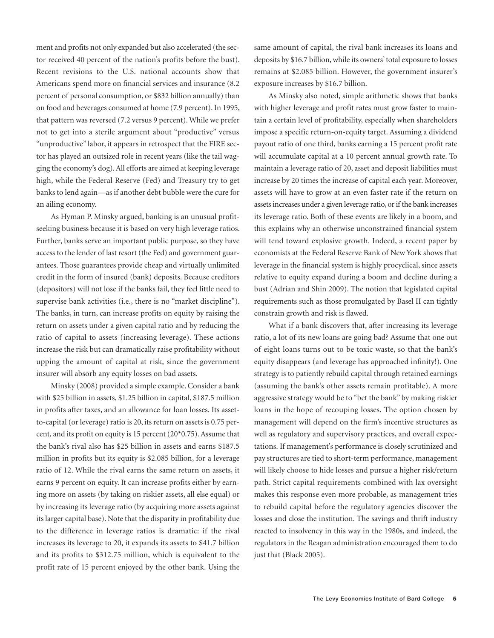ment and profits not only expanded but also accelerated (the sector received 40 percent of the nation's profits before the bust). Recent revisions to the U.S. national accounts show that Americans spend more on financial services and insurance (8.2 percent of personal consumption, or \$832 billion annually) than on food and beverages consumed at home (7.9 percent).In 1995, that pattern was reversed (7.2 versus 9 percent).While we prefer not to get into a sterile argument about "productive" versus "unproductive" labor, it appears in retrospect that the FIRE sector has played an outsized role in recent years (like the tail wagging the economy's dog).All efforts are aimed at keeping leverage high, while the Federal Reserve (Fed) and Treasury try to get banks to lend again—as if another debt bubble were the cure for an ailing economy.

As Hyman P. Minsky argued, banking is an unusual profitseeking business because it is based on very high leverage ratios. Further, banks serve an important public purpose, so they have access to the lender of last resort (the Fed) and government guarantees. Those guarantees provide cheap and virtually unlimited credit in the form of insured (bank) deposits. Because creditors (depositors) will not lose if the banks fail, they feel little need to supervise bank activities (i.e., there is no "market discipline"). The banks, in turn, can increase profits on equity by raising the return on assets under a given capital ratio and by reducing the ratio of capital to assets (increasing leverage). These actions increase the risk but can dramatically raise profitability without upping the amount of capital at risk, since the government insurer will absorb any equity losses on bad assets.

Minsky (2008) provided a simple example. Consider a bank with \$25 billion in assets, \$1.25 billion in capital, \$187.5 million in profits after taxes, and an allowance for loan losses. Its assetto-capital (or leverage) ratio is 20, its return on assets is 0.75 percent, and its profit on equity is 15 percent (20\*0.75).Assume that the bank's rival also has \$25 billion in assets and earns \$187.5 million in profits but its equity is \$2.085 billion, for a leverage ratio of 12. While the rival earns the same return on assets, it earns 9 percent on equity. It can increase profits either by earning more on assets (by taking on riskier assets, all else equal) or by increasing its leverage ratio (by acquiring more assets against its larger capital base). Note that the disparity in profitability due to the difference in leverage ratios is dramatic: if the rival increases its leverage to 20, it expands its assets to \$41.7 billion and its profits to \$312.75 million, which is equivalent to the profit rate of 15 percent enjoyed by the other bank. Using the

same amount of capital, the rival bank increases its loans and deposits by \$16.7 billion,while its owners'total exposure to losses remains at \$2.085 billion. However, the government insurer's exposure increases by \$16.7 billion.

As Minsky also noted, simple arithmetic shows that banks with higher leverage and profit rates must grow faster to maintain a certain level of profitability, especially when shareholders impose a specific return-on-equity target. Assuming a dividend payout ratio of one third, banks earning a 15 percent profit rate will accumulate capital at a 10 percent annual growth rate. To maintain a leverage ratio of 20, asset and deposit liabilities must increase by 20 times the increase of capital each year. Moreover, assets will have to grow at an even faster rate if the return on assets increases under a given leverage ratio, or if the bank increases its leverage ratio. Both of these events are likely in a boom, and this explains why an otherwise unconstrained financial system will tend toward explosive growth. Indeed, a recent paper by economists at the Federal Reserve Bank of New York shows that leverage in the financial system is highly procyclical, since assets relative to equity expand during a boom and decline during a bust (Adrian and Shin 2009). The notion that legislated capital requirements such as those promulgated by Basel II can tightly constrain growth and risk is flawed.

What if a bank discovers that, after increasing its leverage ratio, a lot of its new loans are going bad? Assume that one out of eight loans turns out to be toxic waste, so that the bank's equity disappears (and leverage has approached infinity!). One strategy is to patiently rebuild capital through retained earnings (assuming the bank's other assets remain profitable). A more aggressive strategy would be to "bet the bank" by making riskier loans in the hope of recouping losses. The option chosen by management will depend on the firm's incentive structures as well as regulatory and supervisory practices, and overall expectations. If management's performance is closely scrutinized and pay structures are tied to short-term performance, management will likely choose to hide losses and pursue a higher risk/return path. Strict capital requirements combined with lax oversight makes this response even more probable, as management tries to rebuild capital before the regulatory agencies discover the losses and close the institution. The savings and thrift industry reacted to insolvency in this way in the 1980s, and indeed, the regulators in the Reagan administration encouraged them to do just that (Black 2005).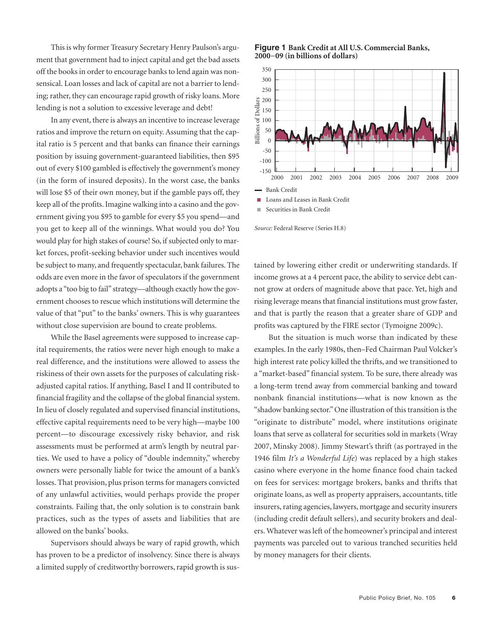This is why former Treasury Secretary Henry Paulson's argument that government had to inject capital and get the bad assets off the books in order to encourage banks to lend again was nonsensical. Loan losses and lack of capital are not a barrier to lending; rather, they can encourage rapid growth of risky loans. More lending is not a solution to excessive leverage and debt!

In any event, there is always an incentive to increase leverage ratios and improve the return on equity.Assuming that the capital ratio is 5 percent and that banks can finance their earnings position by issuing government-guaranteed liabilities, then \$95 out of every \$100 gambled is effectively the government's money (in the form of insured deposits). In the worst case, the banks will lose \$5 of their own money, but if the gamble pays off, they keep all of the profits.Imagine walking into a casino and the government giving you \$95 to gamble for every \$5 you spend—and you get to keep all of the winnings. What would you do? You would play for high stakes of course! So, if subjected only to market forces, profit-seeking behavior under such incentives would be subject to many, and frequently spectacular, bank failures. The odds are even more in the favor of speculators if the government adopts a "too big to fail" strategy—although exactly how the government chooses to rescue which institutions will determine the value of that "put" to the banks' owners. This is why guarantees without close supervision are bound to create problems.

While the Basel agreements were supposed to increase capital requirements, the ratios were never high enough to make a real difference, and the institutions were allowed to assess the riskiness of their own assets for the purposes of calculating riskadjusted capital ratios. If anything, Basel I and II contributed to financial fragility and the collapse of the global financial system. In lieu of closely regulated and supervised financial institutions, effective capital requirements need to be very high—maybe 100 percent—to discourage excessively risky behavior, and risk assessments must be performed at arm's length by neutral parties. We used to have a policy of "double indemnity," whereby owners were personally liable for twice the amount of a bank's losses. That provision, plus prison terms for managers convicted of any unlawful activities, would perhaps provide the proper constraints. Failing that, the only solution is to constrain bank practices, such as the types of assets and liabilities that are allowed on the banks' books.

Supervisors should always be wary of rapid growth, which has proven to be a predictor of insolvency. Since there is always a limited supply of creditworthy borrowers, rapid growth is sus-



*Source:* Federal Reserve (Series H.8)

tained by lowering either credit or underwriting standards. If income grows at a 4 percent pace, the ability to service debt cannot grow at orders of magnitude above that pace. Yet, high and rising leverage means that financial institutions must grow faster, and that is partly the reason that a greater share of GDP and profits was captured by the FIRE sector (Tymoigne 2009c).

But the situation is much worse than indicated by these examples. In the early 1980s, then–Fed Chairman Paul Volcker's high interest rate policy killed the thrifts, and we transitioned to a "market-based" financial system. To be sure, there already was a long-term trend away from commercial banking and toward nonbank financial institutions—what is now known as the "shadow banking sector."One illustration of this transition is the "originate to distribute" model, where institutions originate loans that serve as collateral for securities sold in markets (Wray 2007, Minsky 2008). Jimmy Stewart's thrift (as portrayed in the 1946 film *It's a Wonderful Life*) was replaced by a high stakes casino where everyone in the home finance food chain tacked on fees for services: mortgage brokers, banks and thrifts that originate loans, as well as property appraisers, accountants, title insurers, rating agencies, lawyers, mortgage and security insurers (including credit default sellers), and security brokers and dealers. Whatever was left of the homeowner's principal and interest payments was parceled out to various tranched securities held by money managers for their clients.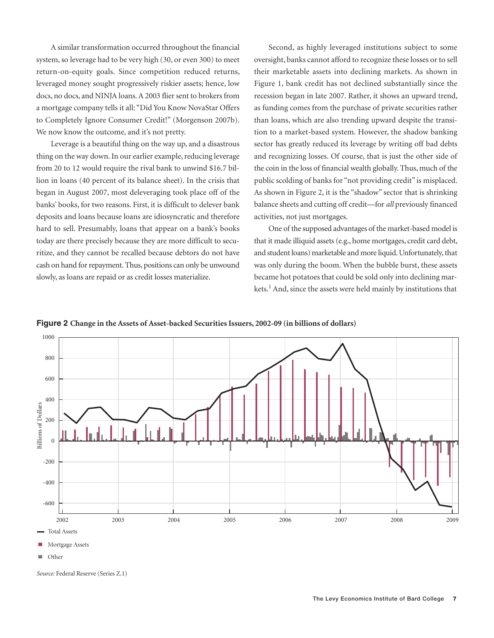A similar transformation occurred throughout the financial system, so leverage had to be very high (30, or even 300) to meet return-on-equity goals. Since competition reduced returns, leveraged money sought progressively riskier assets; hence, low docs, no docs, and NINJA loans.A 2003 flier sent to brokers from a mortgage company tells it all: "Did You Know NovaStar Offers to Completely Ignore Consumer Credit!" (Morgenson 2007b). We now know the outcome, and it's not pretty.

Leverage is a beautiful thing on the way up, and a disastrous thing on the way down. In our earlier example, reducing leverage from 20 to 12 would require the rival bank to unwind \$16.7 billion in loans (40 percent of its balance sheet). In the crisis that began in August 2007, most deleveraging took place off of the banks' books, for two reasons. First, it is difficult to delever bank deposits and loans because loans are idiosyncratic and therefore hard to sell. Presumably, loans that appear on a bank's books today are there precisely because they are more difficult to securitize, and they cannot be recalled because debtors do not have cash on hand for repayment. Thus, positions can only be unwound slowly, as loans are repaid or as credit losses materialize.

Second, as highly leveraged institutions subject to some oversight, banks cannot afford to recognize these losses or to sell their marketable assets into declining markets. As shown in Figure 1, bank credit has not declined substantially since the recession began in late 2007. Rather, it shows an upward trend, as funding comes from the purchase of private securities rather than loans, which are also trending upward despite the transition to a market-based system. However, the shadow banking sector has greatly reduced its leverage by writing off bad debts and recognizing losses. Of course, that is just the other side of the coin in the loss of financial wealth globally. Thus, much of the public scolding of banks for "not providing credit" is misplaced. As shown in Figure 2, it is the "shadow" sector that is shrinking balance sheets and cutting off credit—for *all* previously financed activities, not just mortgages.

One of the supposed advantages of the market-based model is that it made illiquid assets(e.g., home mortgages, credit card debt, and student loans) marketable and more liquid. Unfortunately, that was only during the boom. When the bubble burst, these assets became hot potatoes that could be sold only into declining markets.<sup>1</sup> And, since the assets were held mainly by institutions that





*Source:* Federal Reserve (Series Z.1)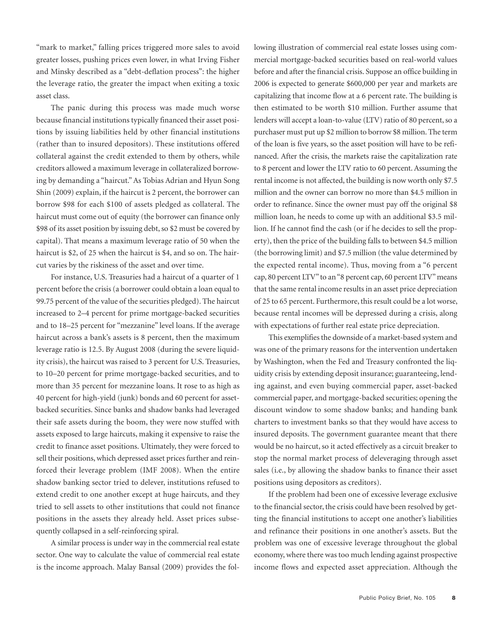"mark to market," falling prices triggered more sales to avoid greater losses, pushing prices even lower, in what Irving Fisher and Minsky described as a "debt-deflation process": the higher the leverage ratio, the greater the impact when exiting a toxic asset class.

The panic during this process was made much worse because financial institutions typically financed their asset positions by issuing liabilities held by other financial institutions (rather than to insured depositors). These institutions offered collateral against the credit extended to them by others, while creditors allowed a maximum leverage in collateralized borrowing by demanding a "haircut."As Tobias Adrian and Hyun Song Shin (2009) explain, if the haircut is 2 percent, the borrower can borrow \$98 for each \$100 of assets pledged as collateral. The haircut must come out of equity (the borrower can finance only \$98 of its asset position by issuing debt, so \$2 must be covered by capital). That means a maximum leverage ratio of 50 when the haircut is \$2, of 25 when the haircut is \$4, and so on. The haircut varies by the riskiness of the asset and over time.

For instance, U.S. Treasuries had a haircut of a quarter of 1 percent before the crisis (a borrower could obtain a loan equal to 99.75 percent of the value of the securities pledged). The haircut increased to 2–4 percent for prime mortgage-backed securities and to 18–25 percent for "mezzanine" level loans. If the average haircut across a bank's assets is 8 percent, then the maximum leverage ratio is 12.5. By August 2008 (during the severe liquidity crisis), the haircut was raised to 3 percent for U.S. Treasuries, to 10–20 percent for prime mortgage-backed securities, and to more than 35 percent for mezzanine loans. It rose to as high as 40 percent for high-yield (junk) bonds and 60 percent for assetbacked securities. Since banks and shadow banks had leveraged their safe assets during the boom, they were now stuffed with assets exposed to large haircuts, making it expensive to raise the credit to finance asset positions. Ultimately, they were forced to sell their positions, which depressed asset prices further and reinforced their leverage problem (IMF 2008). When the entire shadow banking sector tried to delever, institutions refused to extend credit to one another except at huge haircuts, and they tried to sell assets to other institutions that could not finance positions in the assets they already held. Asset prices subsequently collapsed in a self-reinforcing spiral.

A similar process is under way in the commercial real estate sector. One way to calculate the value of commercial real estate is the income approach. Malay Bansal (2009) provides the following illustration of commercial real estate losses using commercial mortgage-backed securities based on real-world values before and after the financial crisis. Suppose an office building in 2006 is expected to generate \$600,000 per year and markets are capitalizing that income flow at a 6 percent rate. The building is then estimated to be worth \$10 million. Further assume that lenders will accept a loan-to-value (LTV) ratio of 80 percent, so a purchaser must put up \$2 million to borrow \$8 million.The term of the loan is five years, so the asset position will have to be refinanced. After the crisis, the markets raise the capitalization rate to 8 percent and lower the LTV ratio to 60 percent.Assuming the rental income is not affected, the building is now worth only \$7.5 million and the owner can borrow no more than \$4.5 million in order to refinance. Since the owner must pay off the original \$8 million loan, he needs to come up with an additional \$3.5 million. If he cannot find the cash (or if he decides to sell the property), then the price of the building falls to between \$4.5 million (the borrowing limit) and \$7.5 million (the value determined by the expected rental income). Thus, moving from a "6 percent cap, 80 percent LTV" to an"8 percent cap, 60 percent LTV"means that the same rental income results in an asset price depreciation of 25 to 65 percent. Furthermore, this result could be a lot worse, because rental incomes will be depressed during a crisis, along with expectations of further real estate price depreciation.

This exemplifies the downside of a market-based system and was one of the primary reasons for the intervention undertaken by Washington, when the Fed and Treasury confronted the liquidity crisis by extending deposit insurance; guaranteeing, lending against, and even buying commercial paper, asset-backed commercial paper, and mortgage-backed securities; opening the discount window to some shadow banks; and handing bank charters to investment banks so that they would have access to insured deposits. The government guarantee meant that there would be no haircut, so it acted effectively as a circuit breaker to stop the normal market process of deleveraging through asset sales (i.e., by allowing the shadow banks to finance their asset positions using depositors as creditors).

If the problem had been one of excessive leverage exclusive to the financial sector, the crisis could have been resolved by getting the financial institutions to accept one another's liabilities and refinance their positions in one another's assets. But the problem was one of excessive leverage throughout the global economy,where there was too much lending against prospective income flows and expected asset appreciation. Although the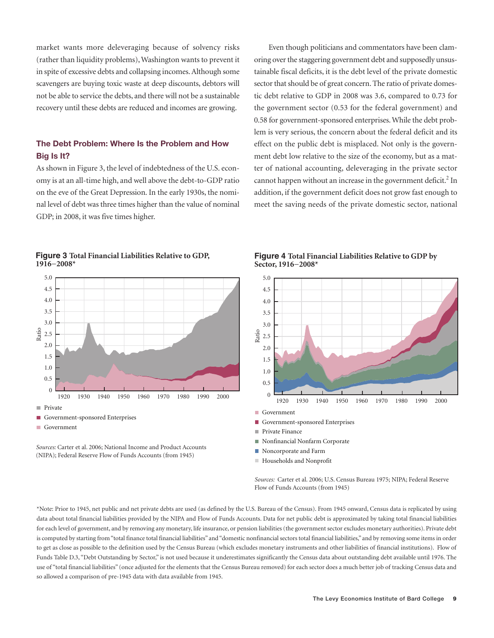market wants more deleveraging because of solvency risks (rather than liquidity problems),Washington wants to prevent it in spite of excessive debts and collapsing incomes.Although some scavengers are buying toxic waste at deep discounts, debtors will not be able to service the debts, and there will not be a sustainable recovery until these debts are reduced and incomes are growing.

## **The Debt Problem: Where Is the Problem and How Big Is It?**

As shown in Figure 3, the level of indebtedness of the U.S. economy is at an all-time high, and well above the debt-to-GDP ratio on the eve of the Great Depression. In the early 1930s, the nominal level of debt was three times higher than the value of nominal GDP; in 2008, it was five times higher.

Even though politicians and commentators have been clamoring overthe staggering government debt and supposedly unsustainable fiscal deficits, it is the debt level of the private domestic sector that should be of great concern. The ratio of private domestic debt relative to GDP in 2008 was 3.6, compared to 0.73 for the government sector (0.53 for the federal government) and 0.58 for government-sponsored enterprises.While the debt problem is very serious, the concern about the federal deficit and its effect on the public debt is misplaced. Not only is the government debt low relative to the size of the economy, but as a matter of national accounting, deleveraging in the private sector cannot happen without an increase in the government deficit.<sup>2</sup> In addition, if the government deficit does not grow fast enough to meet the saving needs of the private domestic sector, national

#### **Figure 3 Total Financial Liabilities Relative to GDP, 1916−2008\***



*Sources:* Carter et al. 2006; National Income and Product Accounts (NIPA); Federal Reserve Flow of Funds Accounts (from 1945)

**Figure 4 Total Financial Liabilities Relative to GDP by Sector, 1916−2008\***



- Government-sponsored Enterprises
- Private Finance
- Nonfinancial Nonfarm Corporate
- Noncorporate and Farm
- Households and Nonprofit

*Sources:* Carter et al. 2006; U.S. Census Bureau 1975; NIPA; Federal Reserve Flow of Funds Accounts (from 1945)

\*Note: Prior to 1945, net public and net private debts are used (as defined by the U.S. Bureau of the Census). From 1945 onward, Census data is replicated by using data about total financial liabilities provided by the NIPA and Flow of Funds Accounts. Data for net public debt is approximated by taking total financial liabilities for each level of government, and by removing any monetary, life insurance, or pension liabilities (the government sector excludes monetary authorities). Private debt is computed by starting from"total finance total financial liabilities" and"domestic nonfinancial sectors total financial liabilities," and by removing some items in order to get as close as possible to the definition used by the Census Bureau (which excludes monetary instruments and other liabilities of financial institutions). Flow of Funds Table D.3, "Debt Outstanding by Sector," is not used because it underestimates significantly the Census data about outstanding debt available until 1976. The use of "total financial liabilities" (once adjusted for the elements that the Census Bureau removed) for each sector does a much better job of tracking Census data and so allowed a comparison of pre-1945 data with data available from 1945.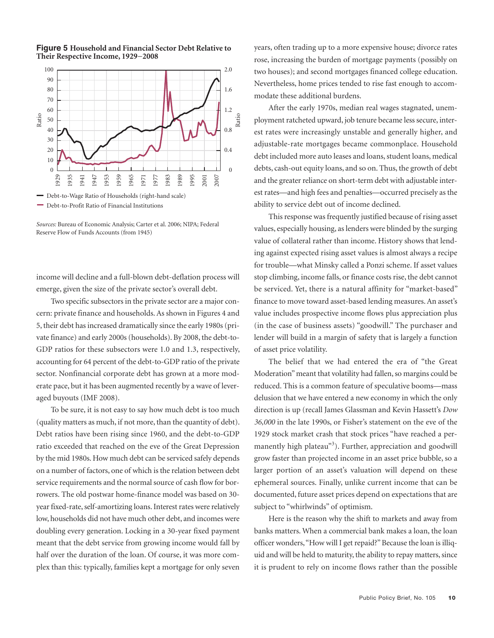

**Figure 5 Household and Financial Sector Debt Relative to Their Respective Income, 1929−2008**

Debt-to-Profit Ratio of Financial Institutions

*Sources:* Bureau of Economic Analysis; Carter et al. 2006; NIPA; Federal Reserve Flow of Funds Accounts (from 1945)

income will decline and a full-blown debt-deflation process will emerge, given the size of the private sector's overall debt.

Two specific subsectors in the private sector are a major concern: private finance and households.As shown in Figures 4 and 5, their debt has increased dramatically since the early 1980s (private finance) and early 2000s (households). By 2008, the debt-to-GDP ratios for these subsectors were 1.0 and 1.3, respectively, accounting for 64 percent of the debt-to-GDP ratio of the private sector. Nonfinancial corporate debt has grown at a more moderate pace, but it has been augmented recently by a wave of leveraged buyouts (IMF 2008).

To be sure, it is not easy to say how much debt is too much (quality matters as much, if not more, than the quantity of debt). Debt ratios have been rising since 1960, and the debt-to-GDP ratio exceeded that reached on the eve of the Great Depression by the mid 1980s. How much debt can be serviced safely depends on a number of factors, one of which is the relation between debt service requirements and the normal source of cash flow for borrowers. The old postwar home-finance model was based on 30 year fixed-rate, self-amortizing loans. Interest rates were relatively low, households did not have much other debt, and incomes were doubling every generation. Locking in a 30-year fixed payment meant that the debt service from growing income would fall by half over the duration of the loan. Of course, it was more complex than this: typically, families kept a mortgage for only seven

years, often trading up to a more expensive house; divorce rates rose, increasing the burden of mortgage payments (possibly on two houses); and second mortgages financed college education. Nevertheless, home prices tended to rise fast enough to accommodate these additional burdens.

After the early 1970s, median real wages stagnated, unemployment ratcheted upward, job tenure became less secure, interest rates were increasingly unstable and generally higher, and adjustable-rate mortgages became commonplace. Household debt included more auto leases and loans, student loans, medical debts, cash-out equity loans, and so on. Thus, the growth of debt and the greater reliance on short-term debt with adjustable interest rates—and high fees and penalties—occurred precisely as the ability to service debt out of income declined.

This response was frequently justified because of rising asset values, especially housing, as lenders were blinded by the surging value of collateral rather than income. History shows that lending against expected rising asset values is almost always a recipe for trouble—what Minsky called a Ponzi scheme. If asset values stop climbing, income falls, or finance costs rise, the debt cannot be serviced. Yet, there is a natural affinity for "market-based" finance to move toward asset-based lending measures.An asset's value includes prospective income flows plus appreciation plus (in the case of business assets) "goodwill." The purchaser and lender will build in a margin of safety that is largely a function of asset price volatility.

The belief that we had entered the era of "the Great Moderation" meant that volatility had fallen, so margins could be reduced. This is a common feature of speculative booms—mass delusion that we have entered a new economy in which the only direction is up (recall James Glassman and Kevin Hassett's *Dow 36,000* in the late 1990s, or Fisher's statement on the eve of the 1929 stock market crash that stock prices "have reached a permanently high plateau"<sup>3</sup>). Further, appreciation and goodwill grow faster than projected income in an asset price bubble, so a larger portion of an asset's valuation will depend on these ephemeral sources. Finally, unlike current income that can be documented, future asset prices depend on expectations that are subject to "whirlwinds" of optimism.

Here is the reason why the shift to markets and away from banks matters. When a commercial bank makes a loan, the loan officer wonders,"How will I get repaid?"Because the loan is illiquid and will be held to maturity, the ability to repay matters, since it is prudent to rely on income flows rather than the possible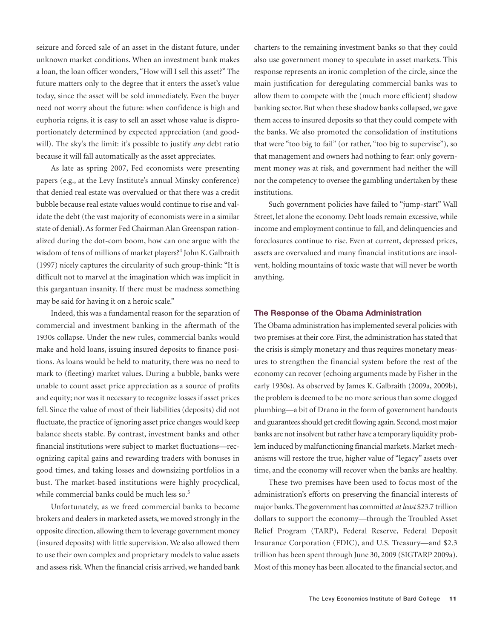seizure and forced sale of an asset in the distant future, under unknown market conditions. When an investment bank makes a loan, the loan officer wonders, "How will I sell this asset?" The future matters only to the degree that it enters the asset's value today, since the asset will be sold immediately. Even the buyer need not worry about the future: when confidence is high and euphoria reigns, it is easy to sell an asset whose value is disproportionately determined by expected appreciation (and goodwill). The sky's the limit: it's possible to justify *any* debt ratio because it will fall automatically as the asset appreciates.

As late as spring 2007, Fed economists were presenting papers (e.g., at the Levy Institute's annual Minsky conference) that denied real estate was overvalued or that there was a credit bubble because real estate values would continue to rise and validate the debt (the vast majority of economists were in a similar state of denial).As former Fed Chairman Alan Greenspan rationalized during the dot-com boom, how can one argue with the wisdom of tens of millions of market players? <sup>4</sup> John K. Galbraith (1997) nicely captures the circularity of such group-think: "It is difficult not to marvel at the imagination which was implicit in this gargantuan insanity. If there must be madness something may be said for having it on a heroic scale."

Indeed, this was a fundamental reason for the separation of commercial and investment banking in the aftermath of the 1930s collapse. Under the new rules, commercial banks would make and hold loans, issuing insured deposits to finance positions. As loans would be held to maturity, there was no need to mark to (fleeting) market values. During a bubble, banks were unable to count asset price appreciation as a source of profits and equity; nor was it necessary to recognize losses if asset prices fell. Since the value of most of their liabilities (deposits) did not fluctuate, the practice of ignoring asset price changes would keep balance sheets stable. By contrast, investment banks and other financial institutions were subject to market fluctuations—recognizing capital gains and rewarding traders with bonuses in good times, and taking losses and downsizing portfolios in a bust. The market-based institutions were highly procyclical, while commercial banks could be much less so. 5

Unfortunately, as we freed commercial banks to become brokers and dealers in marketed assets, we moved strongly in the opposite direction, allowing them to leverage government money (insured deposits) with little supervision. We also allowed them to use their own complex and proprietary models to value assets and assess risk. When the financial crisis arrived, we handed bank charters to the remaining investment banks so that they could also use government money to speculate in asset markets. This response represents an ironic completion of the circle, since the main justification for deregulating commercial banks was to allow them to compete with the (much more efficient) shadow banking sector. But when these shadow banks collapsed, we gave them access to insured deposits so that they could compete with the banks. We also promoted the consolidation of institutions that were "too big to fail" (or rather, "too big to supervise"), so that management and owners had nothing to fear: only government money was at risk, and government had neither the will nor the competency to oversee the gambling undertaken by these institutions.

Such government policies have failed to "jump-start" Wall Street, let alone the economy. Debt loads remain excessive, while income and employment continue to fall, and delinquencies and foreclosures continue to rise. Even at current, depressed prices, assets are overvalued and many financial institutions are insolvent, holding mountains of toxic waste that will never be worth anything.

#### **The Response of the Obama Administration**

The Obama administration has implemented several policies with two premises at their core. First, the administration has stated that the crisis is simply monetary and thus requires monetary measures to strengthen the financial system before the rest of the economy can recover (echoing arguments made by Fisher in the early 1930s). As observed by James K. Galbraith (2009a, 2009b), the problem is deemed to be no more serious than some clogged plumbing—a bit of Drano in the form of government handouts and guarantees should get credit flowing again. Second, most major banks are not insolvent but rather have a temporary liquidity problem induced by malfunctioning financial markets. Market mechanisms will restore the true, higher value of "legacy" assets over time, and the economy will recover when the banks are healthy.

These two premises have been used to focus most of the administration's efforts on preserving the financial interests of major banks.The government has committed *at least* \$23.7 trillion dollars to support the economy—through the Troubled Asset Relief Program (TARP), Federal Reserve, Federal Deposit Insurance Corporation (FDIC), and U.S. Treasury—and \$2.3 trillion has been spent through June 30, 2009 (SIGTARP 2009a). Most of this money has been allocated to the financial sector, and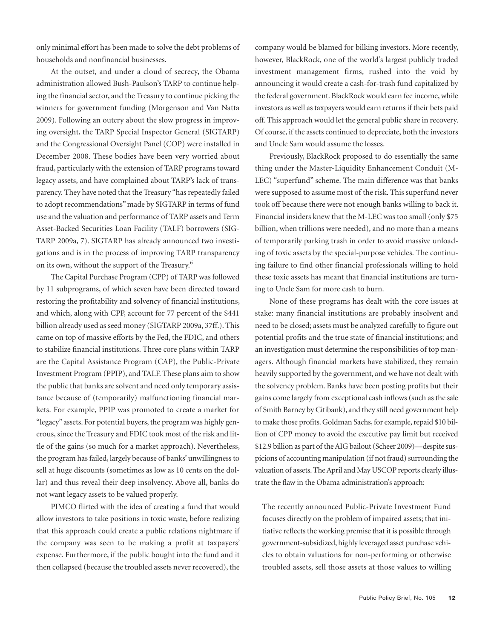only minimal effort has been made to solve the debt problems of households and nonfinancial businesses.

At the outset, and under a cloud of secrecy, the Obama administration allowed Bush-Paulson's TARP to continue helping the financial sector, and the Treasury to continue picking the winners for government funding (Morgenson and Van Natta 2009). Following an outcry about the slow progress in improving oversight, the TARP Special Inspector General (SIGTARP) and the Congressional Oversight Panel (COP) were installed in December 2008. These bodies have been very worried about fraud, particularly with the extension of TARP programs toward legacy assets, and have complained about TARP's lack of transparency. They have noted that the Treasury "has repeatedly failed to adopt recommendations"made by SIGTARP in terms of fund use and the valuation and performance of TARP assets and Term Asset-Backed Securities Loan Facility (TALF) borrowers (SIG-TARP 2009a, 7). SIGTARP has already announced two investigations and is in the process of improving TARP transparency on its own, without the support of the Treasury.<sup>6</sup>

The Capital Purchase Program (CPP) of TARP was followed by 11 subprograms, of which seven have been directed toward restoring the profitability and solvency of financial institutions, and which, along with CPP, account for 77 percent of the \$441 billion already used as seed money (SIGTARP 2009a, 37ff.). This came on top of massive efforts by the Fed, the FDIC, and others to stabilize financial institutions. Three core plans within TARP are the Capital Assistance Program (CAP), the Public-Private Investment Program (PPIP), and TALF. These plans aim to show the public that banks are solvent and need only temporary assistance because of (temporarily) malfunctioning financial markets. For example, PPIP was promoted to create a market for "legacy" assets. For potential buyers, the program was highly generous, since the Treasury and FDIC took most of the risk and little of the gains (so much for a market approach). Nevertheless, the program has failed, largely because of banks' unwillingness to sell at huge discounts (sometimes as low as 10 cents on the dollar) and thus reveal their deep insolvency. Above all, banks do not want legacy assets to be valued properly.

PIMCO flirted with the idea of creating a fund that would allow investors to take positions in toxic waste, before realizing that this approach could create a public relations nightmare if the company was seen to be making a profit at taxpayers' expense. Furthermore, if the public bought into the fund and it then collapsed (because the troubled assets never recovered), the

company would be blamed for bilking investors. More recently, however, BlackRock, one of the world's largest publicly traded investment management firms, rushed into the void by announcing it would create a cash-for-trash fund capitalized by the federal government. BlackRock would earn fee income,while investors as well as taxpayers would earn returns if their bets paid off. This approach would let the general public share in recovery. Of course, if the assets continued to depreciate, both the investors and Uncle Sam would assume the losses.

Previously, BlackRock proposed to do essentially the same thing under the Master-Liquidity Enhancement Conduit (M-LEC) "superfund" scheme. The main difference was that banks were supposed to assume most of the risk. This superfund never took off because there were not enough banks willing to back it. Financial insiders knew that the M-LEC was too small (only \$75 billion, when trillions were needed), and no more than a means of temporarily parking trash in order to avoid massive unloading of toxic assets by the special-purpose vehicles. The continuing failure to find other financial professionals willing to hold these toxic assets has meant that financial institutions are turning to Uncle Sam for more cash to burn.

None of these programs has dealt with the core issues at stake: many financial institutions are probably insolvent and need to be closed; assets must be analyzed carefully to figure out potential profits and the true state of financial institutions; and an investigation must determine the responsibilities of top managers. Although financial markets have stabilized, they remain heavily supported by the government, and we have not dealt with the solvency problem. Banks have been posting profits but their gains come largely from exceptional cash inflows(such as the sale of Smith Barney by Citibank), and they still need government help to make those profits. Goldman Sachs, for example, repaid \$10 billion of CPP money to avoid the executive pay limit but received \$12.9 billion as part of theAIG bailout(Scheer 2009)—despite suspicions of accounting manipulation (if not fraud) surrounding the valuation of assets. The April and May USCOP reports clearly illustrate the flaw in the Obama administration's approach:

The recently announced Public-Private Investment Fund focuses directly on the problem of impaired assets; that initiative reflects the working premise that it is possible through government-subsidized, highly leveraged asset purchase vehicles to obtain valuations for non-performing or otherwise troubled assets, sell those assets at those values to willing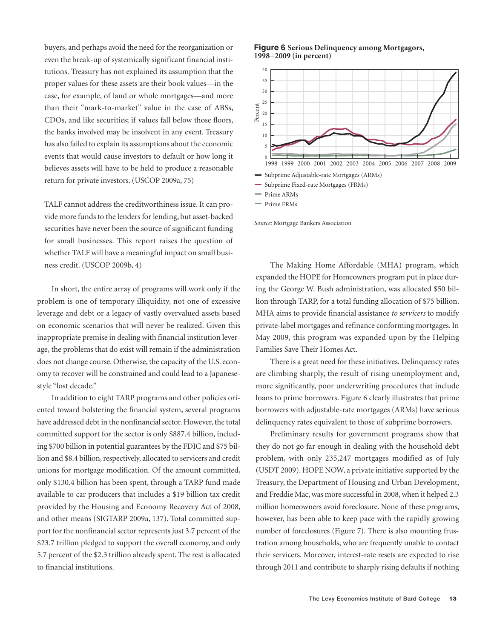buyers, and perhaps avoid the need for the reorganization or even the break-up of systemically significant financial institutions. Treasury has not explained its assumption that the proper values for these assets are their book values—in the case, for example, of land or whole mortgages—and more than their "mark-to-market" value in the case of ABSs, CDOs, and like securities; if values fall below those floors, the banks involved may be insolvent in any event. Treasury has also failed to explain its assumptions about the economic events that would cause investors to default or how long it believes assets will have to be held to produce a reasonable return for private investors.(USCOP 2009a, 75)

TALF cannot address the creditworthiness issue. It can provide more funds to the lenders for lending, but asset-backed securities have never been the source of significant funding for small businesses. This report raises the question of whether TALF will have a meaningful impact on small business credit. (USCOP 2009b, 4)

In short, the entire array of programs will work only if the problem is one of temporary illiquidity, not one of excessive leverage and debt or a legacy of vastly overvalued assets based on economic scenarios that will never be realized. Given this inappropriate premise in dealing with financial institution leverage, the problems that do exist will remain if the administration does not change course. Otherwise, the capacity of the U.S. economy to recover will be constrained and could lead to a Japanesestyle "lost decade."

In addition to eight TARP programs and other policies oriented toward bolstering the financial system, several programs have addressed debt in the nonfinancial sector. However, the total committed support for the sector is only \$887.4 billion, including \$700 billion in potential guarantees by the FDIC and \$75 billion and \$8.4 billion, respectively, allocated to servicers and credit unions for mortgage modification. Of the amount committed, only \$130.4 billion has been spent, through a TARP fund made available to car producers that includes a \$19 billion tax credit provided by the Housing and Economy Recovery Act of 2008, and other means (SIGTARP 2009a, 137). Total committed support for the nonfinancial sector represents just 3.7 percent of the \$23.7 trillion pledged to support the overall economy, and only 5.7 percent of the \$2.3 trillion already spent. The rest is allocated to financial institutions.





*Source:* Mortgage Bankers Association

The Making Home Affordable (MHA) program, which expanded the HOPE for Homeowners program put in place during the George W. Bush administration, was allocated \$50 billion through TARP, for a total funding allocation of \$75 billion. MHA aims to provide financial assistance *to servicers* to modify private-label mortgages and refinance conforming mortgages.In May 2009, this program was expanded upon by the Helping Families Save Their Homes Act.

There is a great need for these initiatives. Delinquency rates are climbing sharply, the result of rising unemployment and, more significantly, poor underwriting procedures that include loans to prime borrowers. Figure 6 clearly illustrates that prime borrowers with adjustable-rate mortgages (ARMs) have serious delinquency rates equivalent to those of subprime borrowers.

Preliminary results for government programs show that they do not go far enough in dealing with the household debt problem, with only 235,247 mortgages modified as of July (USDT 2009). HOPE NOW, a private initiative supported by the Treasury, the Department of Housing and Urban Development, and Freddie Mac,was more successful in 2008,when it helped 2.3 million homeowners avoid foreclosure. None of these programs, however, has been able to keep pace with the rapidly growing number of foreclosures (Figure 7). There is also mounting frustration among households, who are frequently unable to contact their servicers. Moreover, interest-rate resets are expected to rise through 2011 and contribute to sharply rising defaults if nothing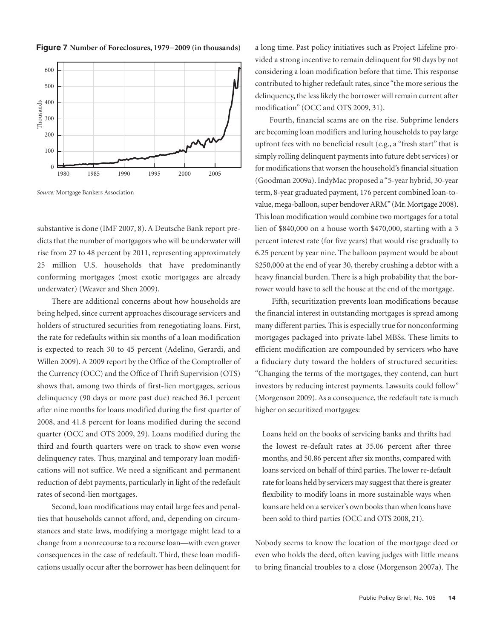

**Figure 7 Number of Foreclosures, 1979−2009 (in thousands)**

*Source:* Mortgage Bankers Association

substantive is done (IMF 2007, 8). A Deutsche Bank report predicts that the number of mortgagors who will be underwater will rise from 27 to 48 percent by 2011, representing approximately 25 million U.S. households that have predominantly conforming mortgages (most exotic mortgages are already underwater) (Weaver and Shen 2009).

There are additional concerns about how households are being helped, since current approaches discourage servicers and holders of structured securities from renegotiating loans. First, the rate for redefaults within six months of a loan modification is expected to reach 30 to 45 percent (Adelino, Gerardi, and Willen 2009). A 2009 report by the Office of the Comptroller of the Currency (OCC) and the Office of Thrift Supervision (OTS) shows that, among two thirds of first-lien mortgages, serious delinquency (90 days or more past due) reached 36.1 percent after nine months for loans modified during the first quarter of 2008, and 41.8 percent for loans modified during the second quarter (OCC and OTS 2009, 29). Loans modified during the third and fourth quarters were on track to show even worse delinquency rates. Thus, marginal and temporary loan modifications will not suffice. We need a significant and permanent reduction of debt payments, particularly in light of the redefault rates of second-lien mortgages.

Second, loan modifications may entail large fees and penalties that households cannot afford, and, depending on circumstances and state laws, modifying a mortgage might lead to a change from a nonrecourse to a recourse loan—with even graver consequences in the case of redefault. Third, these loan modifications usually occur after the borrower has been delinquent for a long time. Past policy initiatives such as Project Lifeline provided a strong incentive to remain delinquent for 90 days by not considering a loan modification before that time. This response contributed to higher redefault rates, since "the more serious the delinquency, the less likely the borrower will remain current after modification" (OCC and OTS 2009, 31).

Fourth, financial scams are on the rise. Subprime lenders are becoming loan modifiers and luring households to pay large upfront fees with no beneficial result (e.g., a "fresh start" that is simply rolling delinquent payments into future debt services) or for modifications that worsen the household's financial situation (Goodman 2009a).IndyMac proposed a "5-year hybrid, 30-year term, 8-year graduated payment, 176 percent combined loan-tovalue, mega-balloon, super bendover ARM" (Mr. Mortgage 2008). This loan modification would combine two mortgages for a total lien of \$840,000 on a house worth \$470,000, starting with a 3 percent interest rate (for five years) that would rise gradually to 6.25 percent by year nine. The balloon payment would be about \$250,000 at the end of year 30, thereby crushing a debtor with a heavy financial burden. There is a high probability that the borrower would have to sell the house at the end of the mortgage.

Fifth, securitization prevents loan modifications because the financial interest in outstanding mortgages is spread among many different parties. This is especially true for nonconforming mortgages packaged into private-label MBSs. These limits to efficient modification are compounded by servicers who have a fiduciary duty toward the holders of structured securities: "Changing the terms of the mortgages, they contend, can hurt investors by reducing interest payments. Lawsuits could follow" (Morgenson 2009). As a consequence, the redefault rate is much higher on securitized mortgages:

Loans held on the books of servicing banks and thrifts had the lowest re-default rates at 35.06 percent after three months, and 50.86 percent after six months, compared with loans serviced on behalf of third parties. The lower re-default rate for loans held by servicers may suggest that there is greater flexibility to modify loans in more sustainable ways when loans are held on a servicer's own books than when loans have been sold to third parties (OCC and OTS 2008, 21).

Nobody seems to know the location of the mortgage deed or even who holds the deed, often leaving judges with little means to bring financial troubles to a close (Morgenson 2007a). The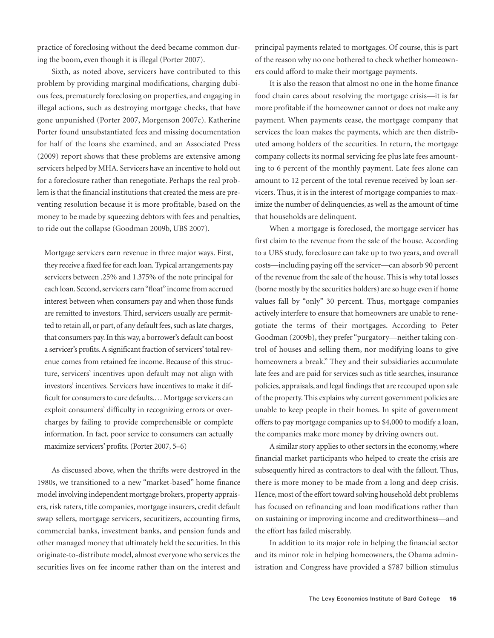practice of foreclosing without the deed became common during the boom, even though it is illegal (Porter 2007).

Sixth, as noted above, servicers have contributed to this problem by providing marginal modifications, charging dubious fees, prematurely foreclosing on properties, and engaging in illegal actions, such as destroying mortgage checks, that have gone unpunished (Porter 2007, Morgenson 2007c). Katherine Porter found unsubstantiated fees and missing documentation for half of the loans she examined, and an Associated Press (2009) report shows that these problems are extensive among servicers helped by MHA. Servicers have an incentive to hold out for a foreclosure rather than renegotiate. Perhaps the real problem is that the financial institutions that created the mess are preventing resolution because it is more profitable, based on the money to be made by squeezing debtors with fees and penalties, to ride out the collapse (Goodman 2009b, UBS 2007).

Mortgage servicers earn revenue in three major ways. First, they receive a fixed fee for each loan.Typical arrangements pay servicers between .25% and 1.375% of the note principal for each loan. Second, servicers earn "float" income from accrued interest between when consumers pay and when those funds are remitted to investors. Third, servicers usually are permitted to retain all, or part, of any default fees, such as late charges, that consumers pay.In thisway, a borrower's default can boost a servicer's profits. A significant fraction of servicers' total revenue comes from retained fee income. Because of this structure, servicers' incentives upon default may not align with investors' incentives. Servicers have incentives to make it difficult for consumers to cure defaults.... Mortgage servicers can exploit consumers' difficulty in recognizing errors or overcharges by failing to provide comprehensible or complete information. In fact, poor service to consumers can actually maximize servicers' profits.(Porter 2007, 5–6)

As discussed above, when the thrifts were destroyed in the 1980s, we transitioned to a new "market-based" home finance model involving independent mortgage brokers, property appraisers, risk raters, title companies, mortgage insurers, credit default swap sellers, mortgage servicers, securitizers, accounting firms, commercial banks, investment banks, and pension funds and other managed money that ultimately held the securities.In this originate-to-distribute model, almost everyone who services the securities lives on fee income rather than on the interest and principal payments related to mortgages. Of course, this is part of the reason why no one bothered to check whether homeowners could afford to make their mortgage payments.

It is also the reason that almost no one in the home finance food chain cares about resolving the mortgage crisis—it is far more profitable if the homeowner cannot or does not make any payment. When payments cease, the mortgage company that services the loan makes the payments, which are then distributed among holders of the securities. In return, the mortgage company collects its normal servicing fee plus late fees amounting to 6 percent of the monthly payment. Late fees alone can amount to 12 percent of the total revenue received by loan servicers. Thus, it is in the interest of mortgage companies to maximize the number of delinquencies, as well as the amount of time that households are delinquent.

When a mortgage is foreclosed, the mortgage servicer has first claim to the revenue from the sale of the house. According to a UBS study, foreclosure can take up to two years, and overall costs—including paying off the servicer—can absorb 90 percent of the revenue from the sale of the house. This is why total losses (borne mostly by the securities holders) are so huge even if home values fall by "only" 30 percent. Thus, mortgage companies actively interfere to ensure that homeowners are unable to renegotiate the terms of their mortgages. According to Peter Goodman (2009b), they prefer "purgatory—neither taking control of houses and selling them, nor modifying loans to give homeowners a break." They and their subsidiaries accumulate late fees and are paid for services such as title searches, insurance policies, appraisals, and legal findings that are recouped upon sale of the property.This explains why current government policies are unable to keep people in their homes. In spite of government offers to pay mortgage companies up to \$4,000 to modify a loan, the companies make more money by driving owners out.

A similar story applies to other sectors in the economy, where financial market participants who helped to create the crisis are subsequently hired as contractors to deal with the fallout. Thus, there is more money to be made from a long and deep crisis. Hence, most of the effort toward solving household debt problems has focused on refinancing and loan modifications rather than on sustaining or improving income and creditworthiness—and the effort has failed miserably.

In addition to its major role in helping the financial sector and its minor role in helping homeowners, the Obama administration and Congress have provided a \$787 billion stimulus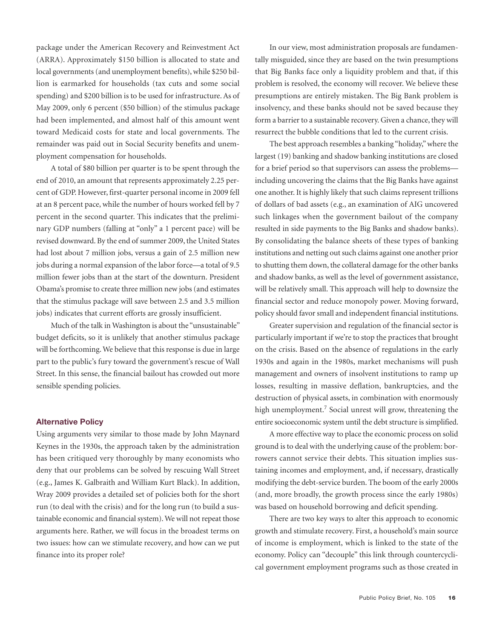package under the American Recovery and Reinvestment Act (ARRA). Approximately \$150 billion is allocated to state and local governments (and unemployment benefits), while \$250 billion is earmarked for households (tax cuts and some social spending) and \$200 billion is to be used for infrastructure.As of May 2009, only 6 percent (\$50 billion) of the stimulus package had been implemented, and almost half of this amount went toward Medicaid costs for state and local governments. The remainder was paid out in Social Security benefits and unemployment compensation for households.

A total of \$80 billion per quarter is to be spent through the end of 2010, an amount that represents approximately 2.25 percent of GDP. However, first-quarter personal income in 2009 fell at an 8 percent pace, while the number of hours worked fell by 7 percent in the second quarter. This indicates that the preliminary GDP numbers (falling at "only" a 1 percent pace) will be revised downward. By the end of summer 2009, the United States had lost about 7 million jobs, versus a gain of 2.5 million new jobs during a normal expansion of the labor force—a total of 9.5 million fewer jobs than at the start of the downturn. President Obama's promise to create three million new jobs (and estimates that the stimulus package will save between 2.5 and 3.5 million jobs) indicates that current efforts are grossly insufficient.

Much of the talk in Washington is about the "unsustainable" budget deficits, so it is unlikely that another stimulus package will be forthcoming.We believe that this response is due in large part to the public's fury toward the government's rescue of Wall Street. In this sense, the financial bailout has crowded out more sensible spending policies.

#### **Alternative Policy**

Using arguments very similar to those made by John Maynard Keynes in the 1930s, the approach taken by the administration has been critiqued very thoroughly by many economists who deny that our problems can be solved by rescuing Wall Street (e.g., James K. Galbraith and William Kurt Black). In addition, Wray 2009 provides a detailed set of policies both for the short run (to deal with the crisis) and for the long run (to build a sustainable economic and financial system).We will not repeat those arguments here. Rather, we will focus in the broadest terms on two issues: how can we stimulate recovery, and how can we put finance into its proper role?

In our view, most administration proposals are fundamentally misguided, since they are based on the twin presumptions that Big Banks face only a liquidity problem and that, if this problem is resolved, the economy will recover. We believe these presumptions are entirely mistaken. The Big Bank problem is insolvency, and these banks should not be saved because they form a barrier to a sustainable recovery. Given a chance, they will resurrect the bubble conditions that led to the current crisis.

The best approach resembles a banking "holiday,"where the largest (19) banking and shadow banking institutions are closed for a brief period so that supervisors can assess the problems including uncovering the claims that the Big Banks have against one another.It is highly likely that such claims represent trillions of dollars of bad assets (e.g., an examination of AIG uncovered such linkages when the government bailout of the company resulted in side payments to the Big Banks and shadow banks). By consolidating the balance sheets of these types of banking institutions and netting out such claims against one another prior to shutting them down, the collateral damage for the other banks and shadow banks, as well as the level of government assistance, will be relatively small. This approach will help to downsize the financial sector and reduce monopoly power. Moving forward, policy should favor small and independent financial institutions.

Greater supervision and regulation of the financial sector is particularly important if we're to stop the practices that brought on the crisis. Based on the absence of regulations in the early 1930s and again in the 1980s, market mechanisms will push management and owners of insolvent institutions to ramp up losses, resulting in massive deflation, bankruptcies, and the destruction of physical assets, in combination with enormously high unemployment. <sup>7</sup> Social unrest will grow, threatening the entire socioeconomic system until the debt structure is simplified.

A more effective way to place the economic process on solid ground is to deal with the underlying cause of the problem: borrowers cannot service their debts. This situation implies sustaining incomes and employment, and, if necessary, drastically modifying the debt-service burden. The boom of the early 2000s (and, more broadly, the growth process since the early 1980s) was based on household borrowing and deficit spending.

There are two key ways to alter this approach to economic growth and stimulate recovery. First, a household's main source of income is employment, which is linked to the state of the economy. Policy can "decouple" this link through countercyclical government employment programs such as those created in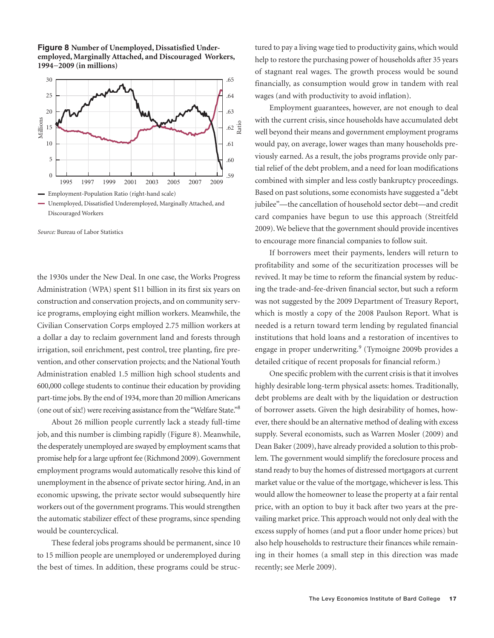**Figure 8 Number of Unemployed, Dissatisfied Underemployed, Marginally Attached, and Discouraged Workers, 1994−2009 (in millions)**



*Source:* Bureau of Labor Statistics

the 1930s under the New Deal. In one case, the Works Progress Administration (WPA) spent \$11 billion in its first six years on construction and conservation projects, and on community service programs, employing eight million workers. Meanwhile, the Civilian Conservation Corps employed 2.75 million workers at a dollar a day to reclaim government land and forests through irrigation, soil enrichment, pest control, tree planting, fire prevention, and other conservation projects; and the National Youth Administration enabled 1.5 million high school students and 600,000 college students to continue their education by providing part-time jobs. By the end of 1934, more than 20 million Americans (one out of six!) were receiving assistance from the "Welfare State."<sup>8</sup>

About 26 million people currently lack a steady full-time job, and this number is climbing rapidly (Figure 8). Meanwhile, the desperately unemployed are swayed by employment scams that promise help for a large upfront fee (Richmond 2009).Government employment programs would automatically resolve this kind of unemployment in the absence of private sector hiring.And, in an economic upswing, the private sector would subsequently hire workers out of the government programs. This would strengthen the automatic stabilizer effect of these programs, since spending would be countercyclical.

These federal jobs programs should be permanent, since 10 to 15 million people are unemployed or underemployed during the best of times. In addition, these programs could be structured to pay a living wage tied to productivity gains, which would help to restore the purchasing power of households after 35 years of stagnant real wages. The growth process would be sound financially, as consumption would grow in tandem with real wages (and with productivity to avoid inflation).

Employment guarantees, however, are not enough to deal with the current crisis, since households have accumulated debt well beyond their means and government employment programs would pay, on average, lower wages than many households previously earned. As a result, the jobs programs provide only partial relief of the debt problem, and a need for loan modifications combined with simpler and less costly bankruptcy proceedings. Based on past solutions, some economists have suggested a "debt" jubilee"—the cancellation of household sector debt—and credit card companies have begun to use this approach (Streitfeld 2009).We believe that the government should provide incentives to encourage more financial companies to follow suit.

If borrowers meet their payments, lenders will return to profitability and some of the securitization processes will be revived. It may be time to reform the financial system by reducing the trade-and-fee-driven financial sector, but such a reform was not suggested by the 2009 Department of Treasury Report, which is mostly a copy of the 2008 Paulson Report. What is needed is a return toward term lending by regulated financial institutions that hold loans and a restoration of incentives to engage in proper underwriting. <sup>9</sup> (Tymoigne 2009b provides a detailed critique of recent proposals for financial reform.)

One specific problem with the current crisis is that it involves highly desirable long-term physical assets: homes. Traditionally, debt problems are dealt with by the liquidation or destruction of borrower assets. Given the high desirability of homes, however, there should be an alternative method of dealing with excess supply. Several economists, such as Warren Mosler (2009) and Dean Baker (2009), have already provided a solution to this problem. The government would simplify the foreclosure process and stand ready to buy the homes of distressed mortgagors at current market value or the value of the mortgage, whichever is less. This would allow the homeowner to lease the property at a fair rental price, with an option to buy it back after two years at the prevailing market price. This approach would not only deal with the excess supply of homes (and put a floor under home prices) but also help households to restructure their finances while remaining in their homes (a small step in this direction was made recently; see Merle 2009).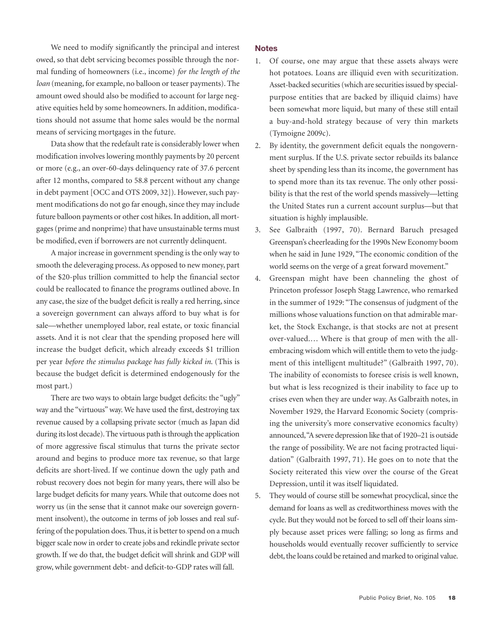We need to modify significantly the principal and interest owed, so that debt servicing becomes possible through the normal funding of homeowners (i.e., income) *for the length of the loan* (meaning, for example, no balloon or teaser payments). The amount owed should also be modified to account for large negative equities held by some homeowners. In addition, modifications should not assume that home sales would be the normal means of servicing mortgages in the future.

Data show that the redefault rate is considerably lower when modification involves lowering monthly payments by 20 percent or more (e.g., an over-60-days delinquency rate of 37.6 percent after 12 months, compared to 58.8 percent without any change in debt payment [OCC and OTS 2009, 32]). However, such payment modifications do not go far enough, since they may include future balloon payments or other cost hikes. In addition, all mortgages (prime and nonprime) that have unsustainable terms must be modified, even if borrowers are not currently delinquent.

A major increase in government spending is the only way to smooth the deleveraging process.As opposed to new money, part of the \$20-plus trillion committed to help the financial sector could be reallocated to finance the programs outlined above. In any case, the size of the budget deficit is really a red herring, since a sovereign government can always afford to buy what is for sale—whether unemployed labor, real estate, or toxic financial assets. And it is not clear that the spending proposed here will increase the budget deficit, which already exceeds \$1 trillion per year *before the stimulus package has fully kicked in*. (This is because the budget deficit is determined endogenously for the most part.)

There are two ways to obtain large budget deficits: the "ugly" way and the "virtuous" way. We have used the first, destroying tax revenue caused by a collapsing private sector (much as Japan did during its lost decade). The virtuous path is through the application of more aggressive fiscal stimulus that turns the private sector around and begins to produce more tax revenue, so that large deficits are short-lived. If we continue down the ugly path and robust recovery does not begin for many years, there will also be large budget deficits for many years.While that outcome does not worry us (in the sense that it cannot make our sovereign government insolvent), the outcome in terms of job losses and real suffering of the population does. Thus, it is better to spend on a much bigger scale now in order to create jobs and rekindle private sector growth. If we do that, the budget deficit will shrink and GDP will grow,while government debt- and deficit-to-GDP rates will fall.

#### **Notes**

- 1. Of course, one may argue that these assets always were hot potatoes. Loans are illiquid even with securitization. Asset-backed securities (which are securities issued by specialpurpose entities that are backed by illiquid claims) have been somewhat more liquid, but many of these still entail a buy-and-hold strategy because of very thin markets (Tymoigne 2009c).
- 2. By identity, the government deficit equals the nongovernment surplus. If the U.S. private sector rebuilds its balance sheet by spending less than its income, the government has to spend more than its tax revenue. The only other possibility is that the rest of the world spends massively—letting the United States run a current account surplus—but that situation is highly implausible.
- 3. See Galbraith (1997, 70). Bernard Baruch presaged Greenspan's cheerleading forthe 1990s New Economy boom when he said in June 1929, "The economic condition of the world seems on the verge of a great forward movement."
- 4. Greenspan might have been channeling the ghost of Princeton professor Joseph Stagg Lawrence, who remarked in the summer of 1929: "The consensus of judgment of the millions whose valuations function on that admirable market, the Stock Exchange, is that stocks are not at present over-valued.… Where is that group of men with the allembracing wisdom which will entitle them to veto the judgment of this intelligent multitude?" (Galbraith 1997, 70). The inability of economists to foresee crisis is well known, but what is less recognized is their inability to face up to crises even when they are under way. As Galbraith notes, in November 1929, the Harvard Economic Society (comprising the university's more conservative economics faculty) announced,"Asevere depression like that of 1920–21 is outside the range of possibility. We are not facing protracted liquidation" (Galbraith 1997, 71). He goes on to note that the Society reiterated this view over the course of the Great Depression, until it was itself liquidated.
- 5. They would of course still be somewhat procyclical, since the demand for loans as well as creditworthiness moves with the cycle. But they would not be forced to sell off their loans simply because asset prices were falling; so long as firms and households would eventually recover sufficiently to service debt, the loans could be retained and marked to original value.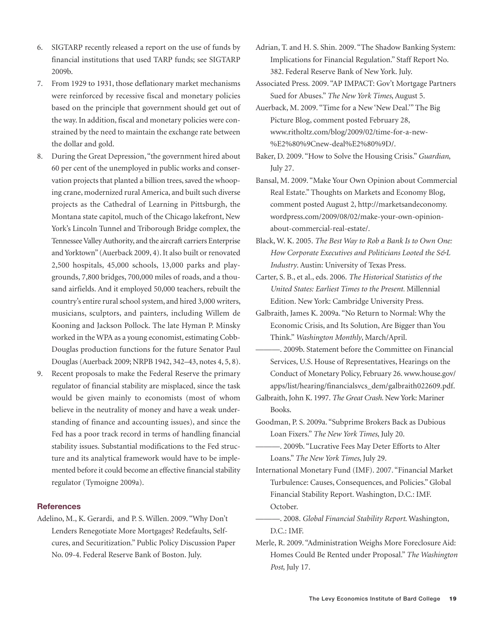- 6. SIGTARP recently released a report on the use of funds by financial institutions that used TARP funds; see SIGTARP 2009b.
- 7. From 1929 to 1931, those deflationary market mechanisms were reinforced by recessive fiscal and monetary policies based on the principle that government should get out of the way. In addition, fiscal and monetary policies were constrained by the need to maintain the exchange rate between the dollar and gold.
- 8. During the Great Depression, "the government hired about 60 per cent of the unemployed in public works and conservation projects that planted a billion trees, saved the whooping crane, modernized rural America, and built such diverse projects as the Cathedral of Learning in Pittsburgh, the Montana state capitol, much of the Chicago lakefront, New York's Lincoln Tunnel and Triborough Bridge complex, the Tennessee Valley Authority, and the aircraft carriers Enterprise and Yorktown" (Auerback 2009, 4). It also built or renovated 2,500 hospitals, 45,000 schools, 13,000 parks and playgrounds, 7,800 bridges, 700,000 miles of roads, and a thousand airfields. And it employed 50,000 teachers, rebuilt the country's entire rural school system, and hired 3,000 writers, musicians, sculptors, and painters, including Willem de Kooning and Jackson Pollock. The late Hyman P. Minsky worked in the WPA as a young economist, estimating Cobb-Douglas production functions for the future Senator Paul Douglas (Auerback 2009; NRPB 1942, 342–43, notes 4, 5, 8).
- 9. Recent proposals to make the Federal Reserve the primary regulator of financial stability are misplaced, since the task would be given mainly to economists (most of whom believe in the neutrality of money and have a weak understanding of finance and accounting issues), and since the Fed has a poor track record in terms of handling financial stability issues. Substantial modifications to the Fed structure and its analytical framework would have to be implemented before it could become an effective financial stability regulator (Tymoigne 2009a).

#### **References**

Adelino, M., K. Gerardi, and P. S. Willen. 2009. "Why Don't Lenders Renegotiate More Mortgages? Redefaults, Selfcures, and Securitization." Public Policy Discussion Paper No. 09-4. Federal Reserve Bank of Boston. July.

Adrian, T. and H. S. Shin. 2009. "The Shadow Banking System: Implications for Financial Regulation." Staff Report No. 382. Federal Reserve Bank of New York. July.

Associated Press. 2009. "AP IMPACT: Gov't Mortgage Partners Sued for Abuses." *The New York Times*, August 5.

- Auerback, M. 2009. "Time for a New'New Deal.'" The Big Picture Blog, comment posted February 28, www.ritholtz.com/blog/2009/02/time-for-a-new- %E2%80%9Cnew-deal%E2%80%9D/.
- Baker, D. 2009. "How to Solve the Housing Crisis."*Guardian*, July 27.
- Bansal, M. 2009. "Make Your Own Opinion about Commercial Real Estate." Thoughts on Markets and Economy Blog, comment posted August 2, http://marketsandeconomy. wordpress.com/2009/08/02/make-your-own-opinionabout-commercial-real-estate/.
- Black, W. K. 2005. *The Best Way to Rob a Bank Is to Own One: How Corporate Executives and Politicians Looted the S&L Industry*. Austin: University of Texas Press.
- Carter, S. B., et al., eds. 2006. *The Historical Statistics of the United States: Earliest Times to the Present.* Millennial Edition. New York: Cambridge University Press.
- Galbraith, James K. 2009a. "No Return to Normal: Why the Economic Crisis, and Its Solution, Are Bigger than You Think." *Washington Monthly*, March/April.
- ———. 2009b. Statement before the Committee on Financial Services, U.S. House of Representatives, Hearings on the Conduct of Monetary Policy, February 26. www.house.gov/ apps/list/hearing/financialsvcs\_dem/galbraith022609.pdf.
- Galbraith, John K. 1997. *The Great Crash*. NewYork: Mariner Books.
- Goodman, P. S. 2009a. "Subprime Brokers Back as Dubious Loan Fixers." *The New York Times*, July 20.
- ———. 2009b. "Lucrative Fees May Deter Efforts to Alter Loans." *The New York Times*, July 29.
- International Monetary Fund (IMF). 2007. "Financial Market Turbulence: Causes, Consequences, and Policies." Global Financial Stability Report. Washington, D.C.: IMF. October.

———. 2008. *Global Financial Stability Report*. Washington, D.C.: IMF.

Merle, R. 2009. "Administration Weighs More Foreclosure Aid: Homes Could Be Rented under Proposal." *The Washington Post*, July 17.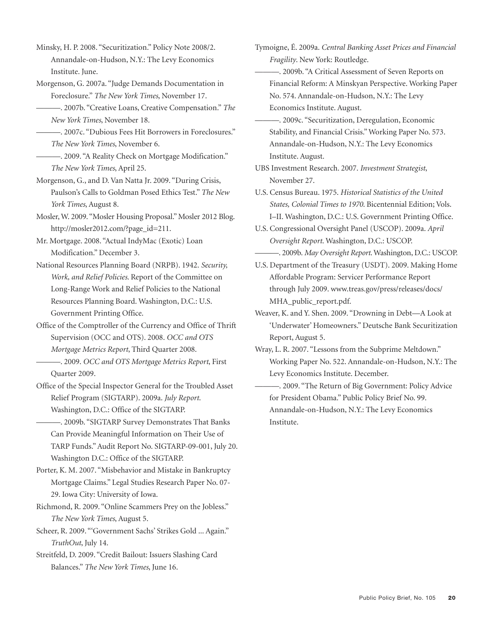Minsky, H. P. 2008. "Securitization." Policy Note 2008/2. Annandale-on-Hudson, N.Y.: The Levy Economics Institute. June.

- Morgenson, G. 2007a. "Judge Demands Documentation in Foreclosure." *The New York Times*, November 17.
- ———. 2007b. "Creative Loans, Creative Compensation." *The New York Times*, November 18.
- ———. 2007c. "Dubious Fees Hit Borrowers in Foreclosures." *The New York Times*, November 6.
- ———. 2009. "A Reality Check on Mortgage Modification." *The New York Times*, April 25.
- Morgenson, G., and D.Van Natta Jr. 2009. "During Crisis, Paulson's Calls to Goldman Posed Ethics Test." *The New York Times*, August 8.
- Mosler, W. 2009. "Mosler Housing Proposal." Mosler 2012 Blog. http://mosler2012.com/?page\_id=211.
- Mr. Mortgage. 2008. "Actual IndyMac (Exotic) Loan Modification." December 3.
- National Resources Planning Board (NRPB). 1942. *Security, Work, and Relief Policies*. Report of the Committee on Long-Range Work and Relief Policies to the National Resources Planning Board. Washington, D.C.: U.S. Government Printing Office.
- Office of the Comptroller of the Currency and Office of Thrift Supervision (OCC and OTS). 2008. *OCC and OTS Mortgage Metrics Report*, Third Quarter 2008.
- ———. 2009. *OCC and OTS Mortgage Metrics Report*, First Quarter 2009.
- Office of the Special Inspector General for the Troubled Asset Relief Program (SIGTARP). 2009a. *July Report*. Washington, D.C.: Office of the SIGTARP.
	- ———. 2009b. "SIGTARP Survey Demonstrates That Banks Can Provide Meaningful Information on Their Use of TARP Funds."Audit Report No. SIGTARP-09-001, July 20. Washington D.C.: Office of the SIGTARP.
- Porter, K. M. 2007. "Misbehavior and Mistake in Bankruptcy Mortgage Claims." Legal Studies Research Paper No. 07- 29. Iowa City: University of Iowa.
- Richmond, R. 2009. "Online Scammers Prey on the Jobless." *The New York Times*, August 5.
- Scheer, R. 2009. "'Government Sachs' Strikes Gold ... Again." *TruthOut*, July 14.
- Streitfeld, D. 2009. "Credit Bailout: Issuers Slashing Card Balances." *The New York Times*, June 16.
- Tymoigne, É. 2009a. *Central Banking Asset Prices and Financial Fragility*. New York: Routledge.
- ———. 2009b. "A Critical Assessment of Seven Reports on Financial Reform: A Minskyan Perspective. Working Paper No. 574. Annandale-on-Hudson, N.Y.: The Levy Economics Institute. August.
- ———. 2009c. "Securitization, Deregulation, Economic Stability, and Financial Crisis."Working Paper No. 573. Annandale-on-Hudson, N.Y.: The Levy Economics Institute. August.
- UBS Investment Research. 2007. *Investment Strategist*, November 27.
- U.S. Census Bureau. 1975. *Historical Statistics of the United States, Colonial Times to 1970*. Bicentennial Edition; Vols. I–II. Washington, D.C.: U.S. Government Printing Office.
- U.S. Congressional Oversight Panel (USCOP). 2009a. *April Oversight Report*. Washington, D.C.: USCOP.
- ———. 2009b. *May Oversight Report*.Washington, D.C.: USCOP.
- U.S. Department of the Treasury (USDT). 2009. Making Home Affordable Program: Servicer Performance Report through July 2009. www.treas.gov/press/releases/docs/ MHA\_public\_report.pdf.
- Weaver, K. and Y. Shen. 2009. "Drowning in Debt—A Look at 'Underwater' Homeowners." Deutsche Bank Securitization Report, August 5.
- Wray, L. R. 2007. "Lessons from the Subprime Meltdown." Working Paper No. 522. Annandale-on-Hudson, N.Y.: The Levy Economics Institute. December.
- ———. 2009. "The Return of Big Government: Policy Advice for President Obama." Public Policy Brief No. 99. Annandale-on-Hudson, N.Y.: The Levy Economics Institute.